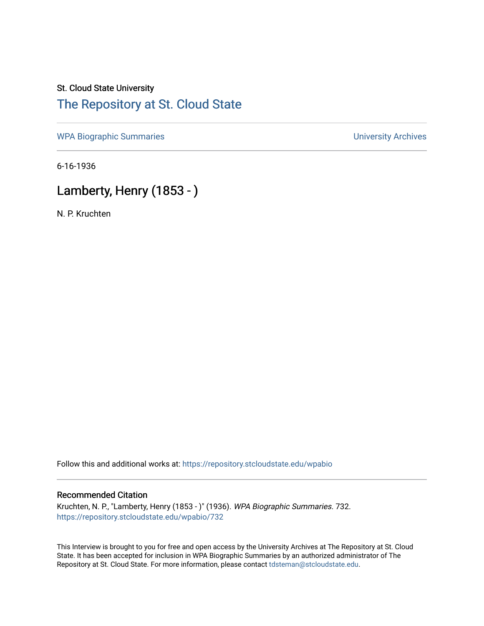## St. Cloud State University [The Repository at St. Cloud State](https://repository.stcloudstate.edu/)

[WPA Biographic Summaries](https://repository.stcloudstate.edu/wpabio) **WPA Biographic Summaries University Archives** 

6-16-1936

## Lamberty, Henry (1853 - )

N. P. Kruchten

Follow this and additional works at: [https://repository.stcloudstate.edu/wpabio](https://repository.stcloudstate.edu/wpabio?utm_source=repository.stcloudstate.edu%2Fwpabio%2F732&utm_medium=PDF&utm_campaign=PDFCoverPages) 

#### Recommended Citation

Kruchten, N. P., "Lamberty, Henry (1853 - )" (1936). WPA Biographic Summaries. 732. [https://repository.stcloudstate.edu/wpabio/732](https://repository.stcloudstate.edu/wpabio/732?utm_source=repository.stcloudstate.edu%2Fwpabio%2F732&utm_medium=PDF&utm_campaign=PDFCoverPages) 

This Interview is brought to you for free and open access by the University Archives at The Repository at St. Cloud State. It has been accepted for inclusion in WPA Biographic Summaries by an authorized administrator of The Repository at St. Cloud State. For more information, please contact [tdsteman@stcloudstate.edu.](mailto:tdsteman@stcloudstate.edu)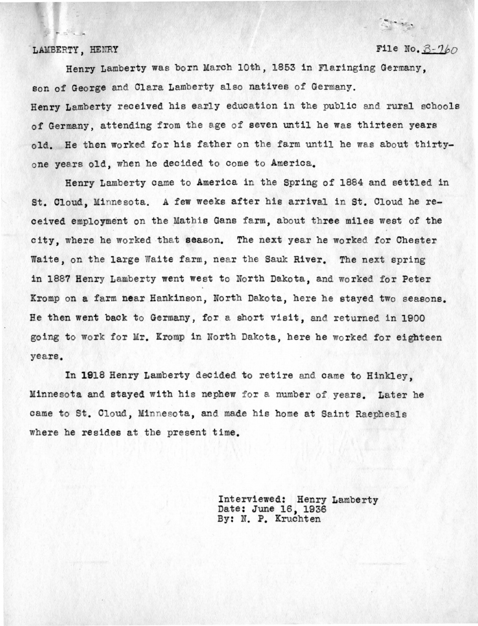$E = 2$ 

### LAMBERTY, HENRY File No.  $3 - 760$

 $\label{eq:1} \frac{\partial \mathbf{w}}{\partial \mathbf{w}} = \frac{\partial \mathbf{w}}{\partial \mathbf{w}}$ 

Henry Lamberty was born March 10th, 1853 in Flaringing Germany, son of George and Clara Lamberty also natives of Germany. Henry Lamberty received his early education in the public and rural schools of Germany, attending from the age of seven until he was thirteen years old. He then worked for his father on the farm until he was about thirtyone years old, when he decided to come to America.

Henry Lamberty came to America in the Spring of 1884 and settled in St. Cloud, Minnesota. A few weeks after his arrival in St. Cloud he received employment on the Mathis Gans farm, about three miles west of the city, where he worked that season. The next year he worked for Chester Waite, on the large Waite farm, near the Sauk River. The next spring in 1887 Henry Lamberty went west to North Dakota, and worked for Peter Kromp on a farm near Hankinson, North Dakota, here he stayed two seasons. He then went back to Germany, for a short visit, and returned in 1900 going to work for Mr. Kromp in North Dakota, here he worked for eighteen years.

In 1918 Henry Lamberty decided to retire and came to Hinkley. Minnesota and stayed with his nephew for a number of years. Later he came to St. Cloud, Minnesota, and made his home at Saint Raepheals where he resides at the present time.

> Interviewed: Henry Lamberty Date: June 16, 1936 By: N. P. Kruchten